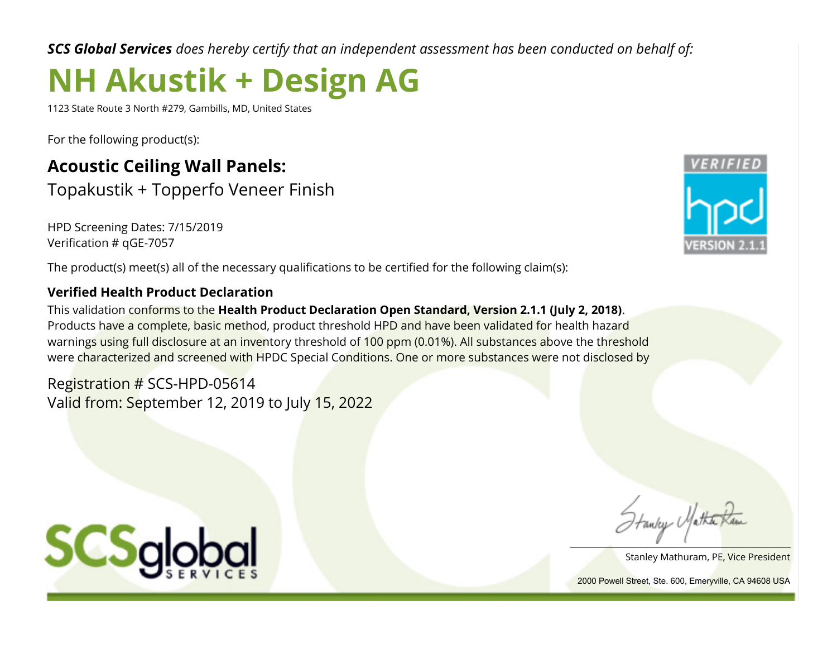*SCS Global Services does hereby certify that an independent assessment has been conducted on behalf of:*

## **NH Akustik + Design AG**

1123 State Route 3 North #279, Gambills, MD, United States

For the following product(s):

### **Acoustic Ceiling Wall Panels:** Topakustik + Topperfo Veneer Finish

HPD Screening Dates: 7/15/2019 Verification # qGE-7057

The product(s) meet(s) all of the necessary qualifications to be certified for the following claim(s):

#### **Verified Health Product Declaration**

This validation conforms to the **Health Product Declaration Open Standard, Version 2.1.1 (July 2, 2018)**. Products have a complete, basic method, product threshold HPD and have been validated for health hazard warnings using full disclosure at an inventory threshold of 100 ppm (0.01%). All substances above the threshold were characterized and screened with HPDC Special Conditions. One or more substances were not disclosed by

Registration # SCS-HPD-05614 Valid from: September 12, 2019 to July 15, 2022



Hanky Matha

Stanley Mathuram, PE, Vice President

2000 Powell Street, Ste. 600, Emeryville, CA 94608 USA

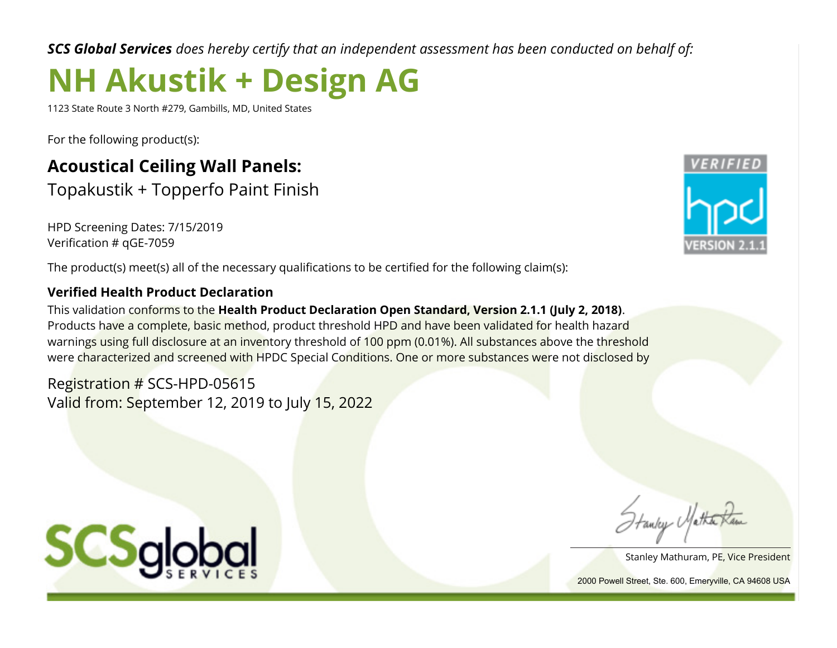*SCS Global Services does hereby certify that an independent assessment has been conducted on behalf of:*

# **NH Akustik + Design AG**

1123 State Route 3 North #279, Gambills, MD, United States

For the following product(s):

### **Acoustical Ceiling Wall Panels:** Topakustik + Topperfo Paint Finish

HPD Screening Dates: 7/15/2019 Verification # qGE-7059

The product(s) meet(s) all of the necessary qualifications to be certified for the following claim(s):

### **Verified Health Product Declaration**

This validation conforms to the **Health Product Declaration Open Standard, Version 2.1.1 (July 2, 2018)**. Products have a complete, basic method, product threshold HPD and have been validated for health hazard warnings using full disclosure at an inventory threshold of 100 ppm (0.01%). All substances above the threshold were characterized and screened with HPDC Special Conditions. One or more substances were not disclosed by

Registration # SCS-HPD-05615 Valid from: September 12, 2019 to July 15, 2022



Hanky Matha

Stanley Mathuram, PE, Vice President

2000 Powell Street, Ste. 600, Emeryville, CA 94608 USA